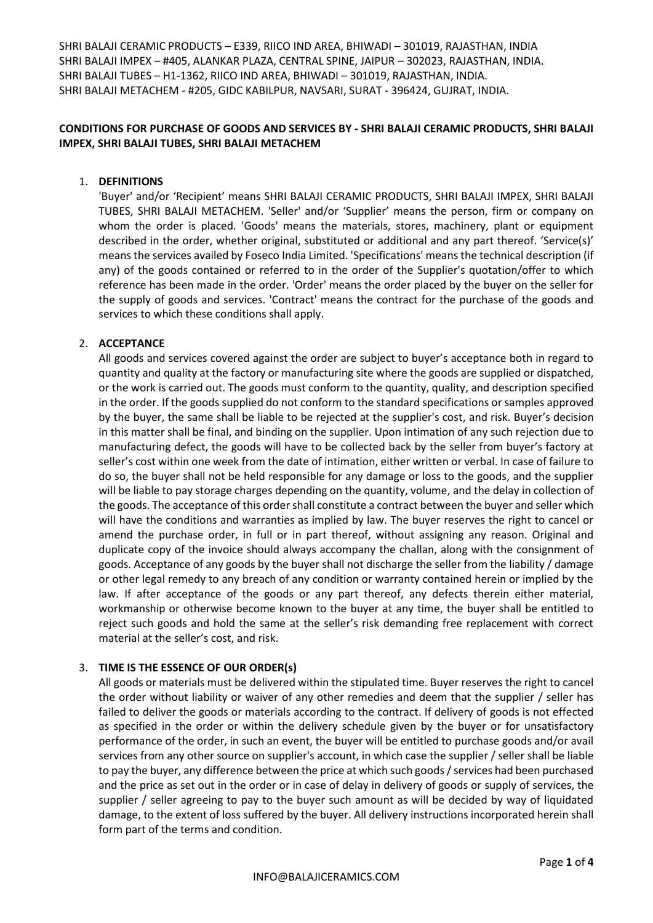# **CONDITIONS FOR PURCHASE OF GOODS AND SERVICES BY - SHRI BALAJI CERAMIC PRODUCTS, SHRI BALAJI IMPEX, SHRI BALAJI TUBES, SHRI BALAJI METACHEM**

### 1. **DEFINITIONS**

'Buyer' and/or 'Recipient' means SHRI BALAJI CERAMIC PRODUCTS, SHRI BALAJI IMPEX, SHRI BALAJI TUBES, SHRI BALAJI METACHEM. 'Seller' and/or 'Supplier' means the person, firm or company on whom the order is placed. 'Goods' means the materials, stores, machinery, plant or equipment described in the order, whether original, substituted or additional and any part thereof. 'Service(s)' means the services availed by Foseco India Limited. 'Specifications' means the technical description (if any) of the goods contained or referred to in the order of the Supplier's quotation/offer to which reference has been made in the order. 'Order' means the order placed by the buyer on the seller for the supply of goods and services. 'Contract' means the contract for the purchase of the goods and services to which these conditions shall apply.

#### 2. **ACCEPTANCE**

All goods and services covered against the order are subject to buyer's acceptance both in regard to quantity and quality at the factory or manufacturing site where the goods are supplied or dispatched, or the work is carried out. The goods must conform to the quantity, quality, and description specified in the order. If the goods supplied do not conform to the standard specifications or samples approved by the buyer, the same shall be liable to be rejected at the supplier's cost, and risk. Buyer's decision in this matter shall be final, and binding on the supplier. Upon intimation of any such rejection due to manufacturing defect, the goods will have to be collected back by the seller from buyer's factory at seller's cost within one week from the date of intimation, either written or verbal. In case of failure to do so, the buyer shall not be held responsible for any damage or loss to the goods, and the supplier will be liable to pay storage charges depending on the quantity, volume, and the delay in collection of the goods. The acceptance of this order shall constitute a contract between the buyer and seller which will have the conditions and warranties as implied by law. The buyer reserves the right to cancel or amend the purchase order, in full or in part thereof, without assigning any reason. Original and duplicate copy of the invoice should always accompany the challan, along with the consignment of goods. Acceptance of any goods by the buyer shall not discharge the seller from the liability / damage or other legal remedy to any breach of any condition or warranty contained herein or implied by the law. If after acceptance of the goods or any part thereof, any defects therein either material, workmanship or otherwise become known to the buyer at any time, the buyer shall be entitled to reject such goods and hold the same at the seller's risk demanding free replacement with correct material at the seller's cost, and risk.

### 3. **TIME IS THE ESSENCE OF OUR ORDER(s)**

All goods or materials must be delivered within the stipulated time. Buyer reserves the right to cancel the order without liability or waiver of any other remedies and deem that the supplier / seller has failed to deliver the goods or materials according to the contract. If delivery of goods is not effected as specified in the order or within the delivery schedule given by the buyer or for unsatisfactory performance of the order, in such an event, the buyer will be entitled to purchase goods and/or avail services from any other source on supplier's account, in which case the supplier / seller shall be liable to pay the buyer, any difference between the price at which such goods / services had been purchased and the price as set out in the order or in case of delay in delivery of goods or supply of services, the supplier / seller agreeing to pay to the buyer such amount as will be decided by way of liquidated damage, to the extent of loss suffered by the buyer. All delivery instructions incorporated herein shall form part of the terms and condition.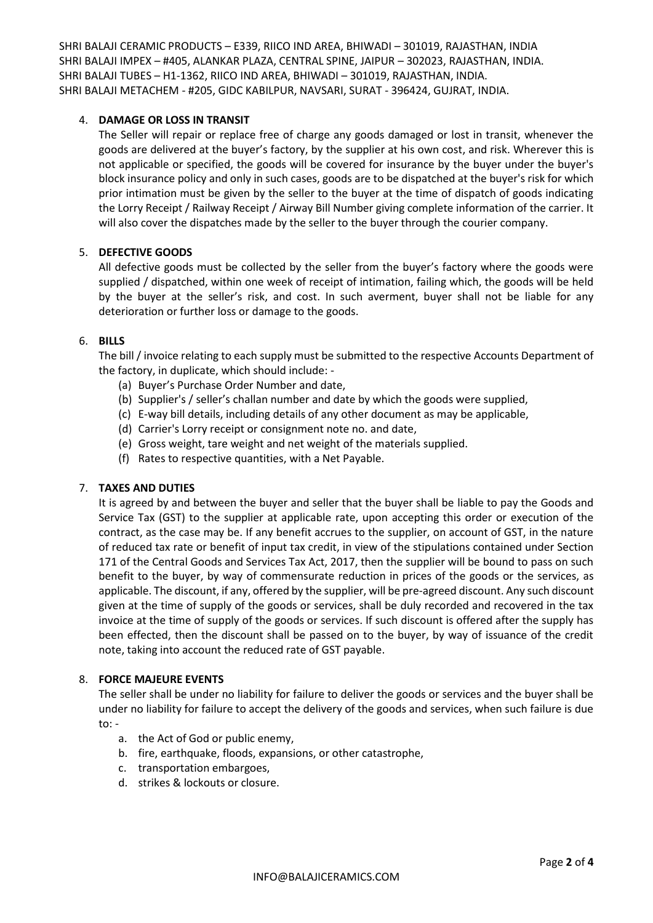### 4. **DAMAGE OR LOSS IN TRANSIT**

The Seller will repair or replace free of charge any goods damaged or lost in transit, whenever the goods are delivered at the buyer's factory, by the supplier at his own cost, and risk. Wherever this is not applicable or specified, the goods will be covered for insurance by the buyer under the buyer's block insurance policy and only in such cases, goods are to be dispatched at the buyer's risk for which prior intimation must be given by the seller to the buyer at the time of dispatch of goods indicating the Lorry Receipt / Railway Receipt / Airway Bill Number giving complete information of the carrier. It will also cover the dispatches made by the seller to the buyer through the courier company.

## 5. **DEFECTIVE GOODS**

All defective goods must be collected by the seller from the buyer's factory where the goods were supplied / dispatched, within one week of receipt of intimation, failing which, the goods will be held by the buyer at the seller's risk, and cost. In such averment, buyer shall not be liable for any deterioration or further loss or damage to the goods.

### 6. **BILLS**

The bill / invoice relating to each supply must be submitted to the respective Accounts Department of the factory, in duplicate, which should include: -

- (a) Buyer's Purchase Order Number and date,
- (b) Supplier's / seller's challan number and date by which the goods were supplied,
- (c) E-way bill details, including details of any other document as may be applicable,
- (d) Carrier's Lorry receipt or consignment note no. and date,
- (e) Gross weight, tare weight and net weight of the materials supplied.
- (f) Rates to respective quantities, with a Net Payable.

### 7. **TAXES AND DUTIES**

It is agreed by and between the buyer and seller that the buyer shall be liable to pay the Goods and Service Tax (GST) to the supplier at applicable rate, upon accepting this order or execution of the contract, as the case may be. If any benefit accrues to the supplier, on account of GST, in the nature of reduced tax rate or benefit of input tax credit, in view of the stipulations contained under Section 171 of the Central Goods and Services Tax Act, 2017, then the supplier will be bound to pass on such benefit to the buyer, by way of commensurate reduction in prices of the goods or the services, as applicable. The discount, if any, offered by the supplier, will be pre-agreed discount. Any such discount given at the time of supply of the goods or services, shall be duly recorded and recovered in the tax invoice at the time of supply of the goods or services. If such discount is offered after the supply has been effected, then the discount shall be passed on to the buyer, by way of issuance of the credit note, taking into account the reduced rate of GST payable.

### 8. **FORCE MAJEURE EVENTS**

The seller shall be under no liability for failure to deliver the goods or services and the buyer shall be under no liability for failure to accept the delivery of the goods and services, when such failure is due to: -

- a. the Act of God or public enemy,
- b. fire, earthquake, floods, expansions, or other catastrophe,
- c. transportation embargoes,
- d. strikes & lockouts or closure.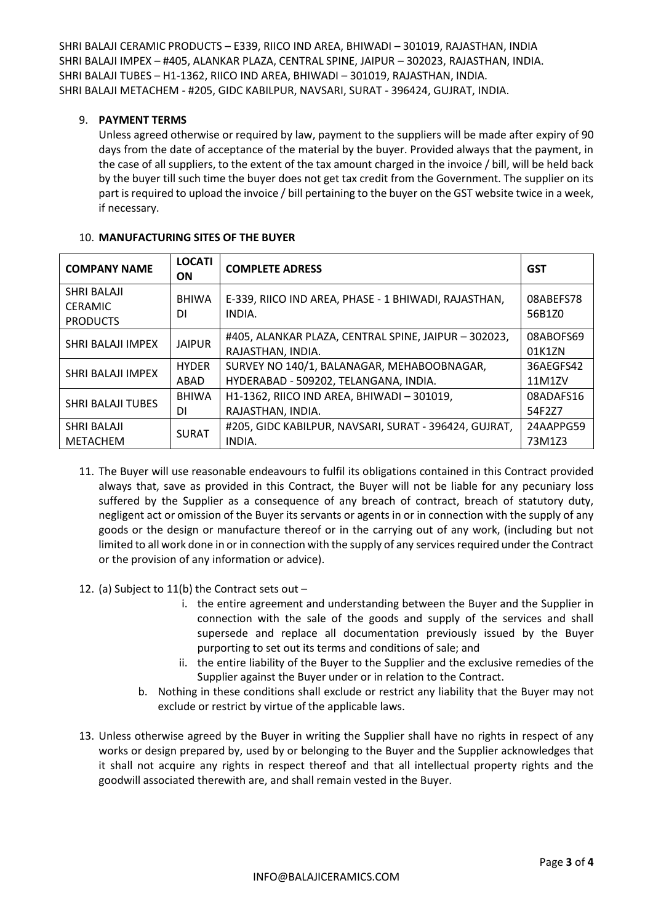## 9. **PAYMENT TERMS**

Unless agreed otherwise or required by law, payment to the suppliers will be made after expiry of 90 days from the date of acceptance of the material by the buyer. Provided always that the payment, in the case of all suppliers, to the extent of the tax amount charged in the invoice / bill, will be held back by the buyer till such time the buyer does not get tax credit from the Government. The supplier on its part is required to upload the invoice / bill pertaining to the buyer on the GST website twice in a week, if necessary.

| <b>COMPANY NAME</b>                                     | <b>LOCATI</b><br><b>ON</b> | <b>COMPLETE ADRESS</b>                                                    | <b>GST</b>          |
|---------------------------------------------------------|----------------------------|---------------------------------------------------------------------------|---------------------|
| <b>SHRI BALAJI</b><br><b>CERAMIC</b><br><b>PRODUCTS</b> | <b>BHIWA</b><br>DI.        | E-339, RIICO IND AREA, PHASE - 1 BHIWADI, RAJASTHAN,<br>INDIA.            | 08ABEFS78<br>56B1Z0 |
| SHRI BALAJI IMPEX                                       | <b>JAIPUR</b>              | #405, ALANKAR PLAZA, CENTRAL SPINE, JAIPUR - 302023,<br>RAJASTHAN, INDIA. | 08ABOFS69<br>01K1ZN |
| SHRI BALAJI IMPEX                                       | <b>HYDER</b>               | SURVEY NO 140/1, BALANAGAR, MEHABOOBNAGAR,                                | 36AEGFS42           |
|                                                         | ABAD                       | HYDERABAD - 509202, TELANGANA, INDIA.                                     | 11M1ZV              |
| <b>SHRI BALAJI TUBES</b>                                | <b>BHIWA</b>               | H1-1362, RIICO IND AREA, BHIWADI - 301019,                                | 08ADAFS16           |
|                                                         | DI.                        | RAJASTHAN, INDIA.                                                         | 54F2Z7              |
| <b>SHRI BALAJI</b>                                      | <b>SURAT</b>               | #205, GIDC KABILPUR, NAVSARI, SURAT - 396424, GUJRAT,                     | 24AAPPG59           |
| <b>METACHEM</b>                                         |                            | INDIA.                                                                    | 73M1Z3              |

#### 10. **MANUFACTURING SITES OF THE BUYER**

- 11. The Buyer will use reasonable endeavours to fulfil its obligations contained in this Contract provided always that, save as provided in this Contract, the Buyer will not be liable for any pecuniary loss suffered by the Supplier as a consequence of any breach of contract, breach of statutory duty, negligent act or omission of the Buyer its servants or agents in or in connection with the supply of any goods or the design or manufacture thereof or in the carrying out of any work, (including but not limited to all work done in or in connection with the supply of any services required under the Contract or the provision of any information or advice).
- 12. (a) Subject to 11(b) the Contract sets out
	- i. the entire agreement and understanding between the Buyer and the Supplier in connection with the sale of the goods and supply of the services and shall supersede and replace all documentation previously issued by the Buyer purporting to set out its terms and conditions of sale; and
	- ii. the entire liability of the Buyer to the Supplier and the exclusive remedies of the Supplier against the Buyer under or in relation to the Contract.
	- b. Nothing in these conditions shall exclude or restrict any liability that the Buyer may not exclude or restrict by virtue of the applicable laws.
- 13. Unless otherwise agreed by the Buyer in writing the Supplier shall have no rights in respect of any works or design prepared by, used by or belonging to the Buyer and the Supplier acknowledges that it shall not acquire any rights in respect thereof and that all intellectual property rights and the goodwill associated therewith are, and shall remain vested in the Buyer.